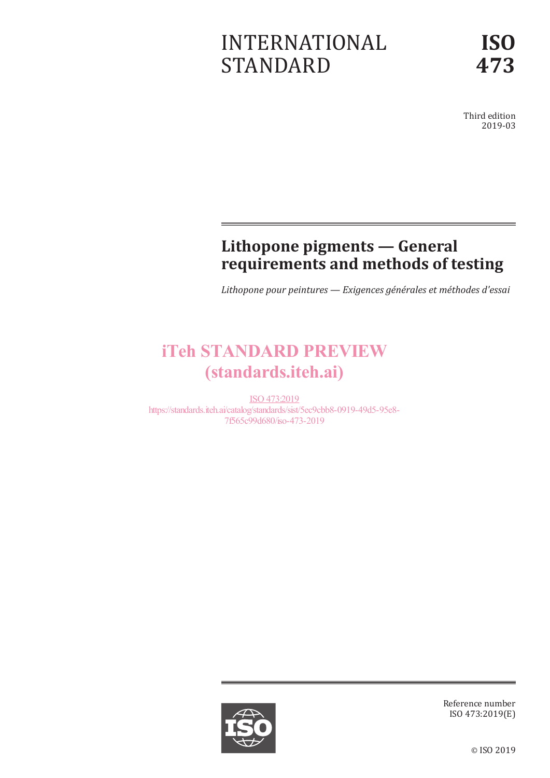# INTERNATIONAL STANDARD

Third edition 2019-03

# **Lithopone pigments — General requirements and methods of testing**

*Lithopone pour peintures — Exigences générales et méthodes d'essai*

# iTeh STANDARD PREVIEW (standards.iteh.ai)

ISO 473:2019 https://standards.iteh.ai/catalog/standards/sist/5ec9cbb8-0919-49d5-95e8- 7f565c99d680/iso-473-2019



Reference number ISO 473:2019(E)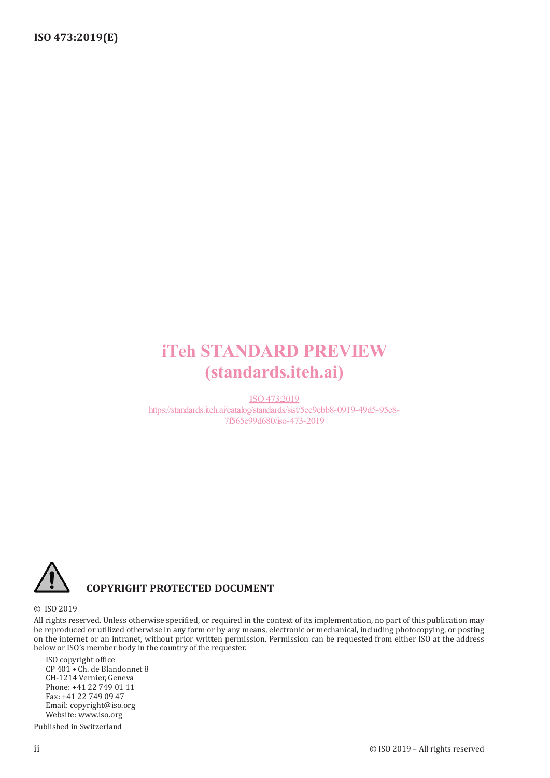# iTeh STANDARD PREVIEW (standards.iteh.ai)

ISO 473:2019 https://standards.iteh.ai/catalog/standards/sist/5ec9cbb8-0919-49d5-95e8- 7f565c99d680/iso-473-2019



### **COPYRIGHT PROTECTED DOCUMENT**

#### © ISO 2019

All rights reserved. Unless otherwise specified, or required in the context of its implementation, no part of this publication may be reproduced or utilized otherwise in any form or by any means, electronic or mechanical, including photocopying, or posting on the internet or an intranet, without prior written permission. Permission can be requested from either ISO at the address below or ISO's member body in the country of the requester.

ISO copyright office CP 401 • Ch. de Blandonnet 8 CH-1214 Vernier, Geneva Phone: +41 22 749 01 11 Fax: +41 22 749 09 47 Email: copyright@iso.org Website: www.iso.org

Published in Switzerland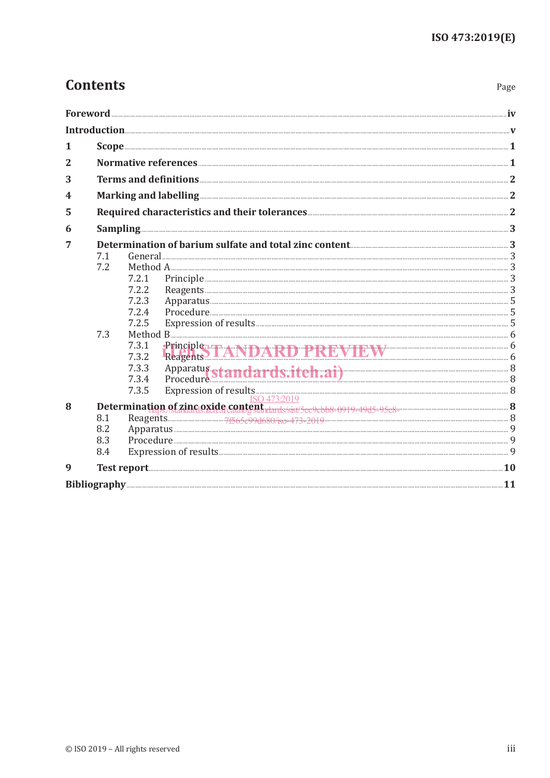Page

# **Contents**

| 1<br>2<br>3<br>4<br>5<br><b>Sampling 33 and 33 and 33 and 33 and 33 and 33 and 33 and 33 and 33 and 33 and 33 and 33 and 33 and 33 and 33 and 33 and 33 and 33 and 34 and 34 and 35 and 35 and 36 and 36 and 36 and 36 and 36 and 36 and 36 and 36 and 36</b><br>6<br>7<br>7.1<br>7.2<br>Principle 3<br>7.2.1<br>7.2.2<br>7.2.3<br>7.2.4<br>7.2.5<br>7.3<br>7.3.1<br><b>Principles TANDARD PREVIEW</b> 66<br>7.3.2<br>Apparatus standards.itch.ai) 38<br>7.3.3<br>7.3.4<br>7.3.5<br><b>Determination of zinc oxide content</b> darks ist 5ec9ebb8-0919-49d5-95e8-<br>8.1 Reagents 7565e99d680/iso-473-2019<br>8<br>8.2<br>8.3<br>8.4<br>9 |  |  |  |  |  |  |  |
|-------------------------------------------------------------------------------------------------------------------------------------------------------------------------------------------------------------------------------------------------------------------------------------------------------------------------------------------------------------------------------------------------------------------------------------------------------------------------------------------------------------------------------------------------------------------------------------------------------------------------------------------|--|--|--|--|--|--|--|
|                                                                                                                                                                                                                                                                                                                                                                                                                                                                                                                                                                                                                                           |  |  |  |  |  |  |  |
|                                                                                                                                                                                                                                                                                                                                                                                                                                                                                                                                                                                                                                           |  |  |  |  |  |  |  |
|                                                                                                                                                                                                                                                                                                                                                                                                                                                                                                                                                                                                                                           |  |  |  |  |  |  |  |
|                                                                                                                                                                                                                                                                                                                                                                                                                                                                                                                                                                                                                                           |  |  |  |  |  |  |  |
|                                                                                                                                                                                                                                                                                                                                                                                                                                                                                                                                                                                                                                           |  |  |  |  |  |  |  |
|                                                                                                                                                                                                                                                                                                                                                                                                                                                                                                                                                                                                                                           |  |  |  |  |  |  |  |
|                                                                                                                                                                                                                                                                                                                                                                                                                                                                                                                                                                                                                                           |  |  |  |  |  |  |  |
|                                                                                                                                                                                                                                                                                                                                                                                                                                                                                                                                                                                                                                           |  |  |  |  |  |  |  |
|                                                                                                                                                                                                                                                                                                                                                                                                                                                                                                                                                                                                                                           |  |  |  |  |  |  |  |
|                                                                                                                                                                                                                                                                                                                                                                                                                                                                                                                                                                                                                                           |  |  |  |  |  |  |  |
|                                                                                                                                                                                                                                                                                                                                                                                                                                                                                                                                                                                                                                           |  |  |  |  |  |  |  |
|                                                                                                                                                                                                                                                                                                                                                                                                                                                                                                                                                                                                                                           |  |  |  |  |  |  |  |
|                                                                                                                                                                                                                                                                                                                                                                                                                                                                                                                                                                                                                                           |  |  |  |  |  |  |  |
|                                                                                                                                                                                                                                                                                                                                                                                                                                                                                                                                                                                                                                           |  |  |  |  |  |  |  |
|                                                                                                                                                                                                                                                                                                                                                                                                                                                                                                                                                                                                                                           |  |  |  |  |  |  |  |
|                                                                                                                                                                                                                                                                                                                                                                                                                                                                                                                                                                                                                                           |  |  |  |  |  |  |  |
|                                                                                                                                                                                                                                                                                                                                                                                                                                                                                                                                                                                                                                           |  |  |  |  |  |  |  |
|                                                                                                                                                                                                                                                                                                                                                                                                                                                                                                                                                                                                                                           |  |  |  |  |  |  |  |
|                                                                                                                                                                                                                                                                                                                                                                                                                                                                                                                                                                                                                                           |  |  |  |  |  |  |  |
|                                                                                                                                                                                                                                                                                                                                                                                                                                                                                                                                                                                                                                           |  |  |  |  |  |  |  |
|                                                                                                                                                                                                                                                                                                                                                                                                                                                                                                                                                                                                                                           |  |  |  |  |  |  |  |
|                                                                                                                                                                                                                                                                                                                                                                                                                                                                                                                                                                                                                                           |  |  |  |  |  |  |  |
|                                                                                                                                                                                                                                                                                                                                                                                                                                                                                                                                                                                                                                           |  |  |  |  |  |  |  |
|                                                                                                                                                                                                                                                                                                                                                                                                                                                                                                                                                                                                                                           |  |  |  |  |  |  |  |
|                                                                                                                                                                                                                                                                                                                                                                                                                                                                                                                                                                                                                                           |  |  |  |  |  |  |  |
|                                                                                                                                                                                                                                                                                                                                                                                                                                                                                                                                                                                                                                           |  |  |  |  |  |  |  |
|                                                                                                                                                                                                                                                                                                                                                                                                                                                                                                                                                                                                                                           |  |  |  |  |  |  |  |
|                                                                                                                                                                                                                                                                                                                                                                                                                                                                                                                                                                                                                                           |  |  |  |  |  |  |  |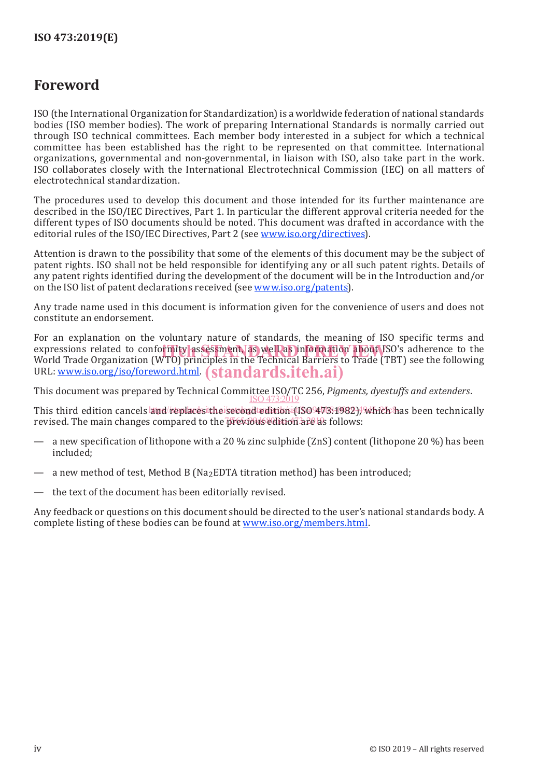## **Foreword**

ISO (the International Organization for Standardization) is a worldwide federation of national standards bodies (ISO member bodies). The work of preparing International Standards is normally carried out through ISO technical committees. Each member body interested in a subject for which a technical committee has been established has the right to be represented on that committee. International organizations, governmental and non-governmental, in liaison with ISO, also take part in the work. ISO collaborates closely with the International Electrotechnical Commission (IEC) on all matters of electrotechnical standardization.

The procedures used to develop this document and those intended for its further maintenance are described in the ISO/IEC Directives, Part 1. In particular the different approval criteria needed for the different types of ISO documents should be noted. This document was drafted in accordance with the editorial rules of the ISO/IEC Directives, Part 2 (see www.iso.org/directives).

Attention is drawn to the possibility that some of the elements of this document may be the subject of patent rights. ISO shall not be held responsible for identifying any or all such patent rights. Details of any patent rights identified during the development of the document will be in the Introduction and/or on the ISO list of patent declarations received (see www.iso.org/patents).

Any trade name used in this document is information given for the convenience of users and does not constitute an endorsement.

For an explanation on the voluntary nature of standards, the meaning of ISO specific terms and expressions related to conformity assessment, as well as information about ISO's adherence to the<br>World Trade Organization (WTO) principles in the Technical Barriers to Trade (TBT) see the following World Trade Organization (WTO) principles in the Technical Barriers to Trade (TBT) see the following URL: <u>www.iso.org/iso/foreword.html</u>. (standards.iteh.ai)

This document was prepared by Technical Committee ISO/TC 256, *Pigments, dyestuffs and extenders*. ISO 473:2019

This third edition cancels and/replaces the second edition (ISO 473:1982), which has been technically revised. The main changes compared to the previous edition are as follows:

- a new specification of lithopone with a 20 % zinc sulphide (ZnS) content (lithopone 20 %) has been included;
- a new method of test, Method B (Na2EDTA titration method) has been introduced;
- the text of the document has been editorially revised.

Any feedback or questions on this document should be directed to the user's national standards body. A complete listing of these bodies can be found at www.iso.org/members.html.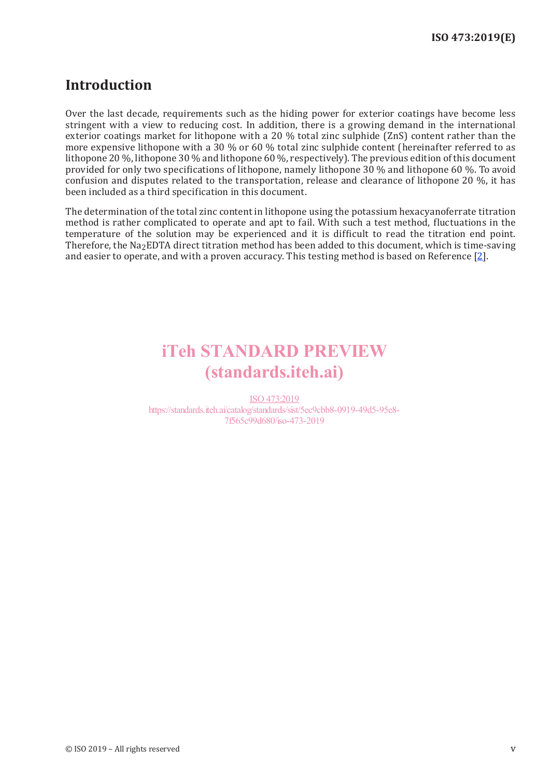### **Introduction**

Over the last decade, requirements such as the hiding power for exterior coatings have become less stringent with a view to reducing cost. In addition, there is a growing demand in the international exterior coatings market for lithopone with a 20 % total zinc sulphide (ZnS) content rather than the more expensive lithopone with a 30 % or 60 % total zinc sulphide content (hereinafter referred to as lithopone 20 %, lithopone 30 % and lithopone 60 %, respectively). The previous edition of this document provided for only two specifications of lithopone, namely lithopone 30 % and lithopone 60 %. To avoid confusion and disputes related to the transportation, release and clearance of lithopone 20 %, it has been included as a third specification in this document.

The determination of the total zinc content in lithopone using the potassium hexacyanoferrate titration method is rather complicated to operate and apt to fail. With such a test method, fluctuations in the temperature of the solution may be experienced and it is difficult to read the titration end point. Therefore, the Na<sub>2</sub>EDTA direct titration method has been added to this document, which is time-saving and easier to operate, and with a proven accuracy. This testing method is based on Reference [2].

# iTeh STANDARD PREVIEW (standards.iteh.ai)

ISO 473:2019 https://standards.iteh.ai/catalog/standards/sist/5ec9cbb8-0919-49d5-95e8- 7f565c99d680/iso-473-2019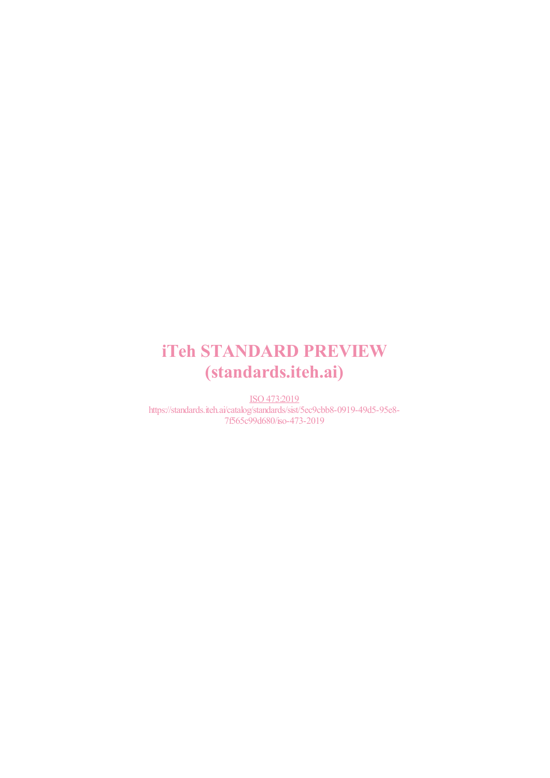# iTeh STANDARD PREVIEW (standards.iteh.ai)

ISO 473:2019 https://standards.iteh.ai/catalog/standards/sist/5ec9cbb8-0919-49d5-95e8- 7f565c99d680/iso-473-2019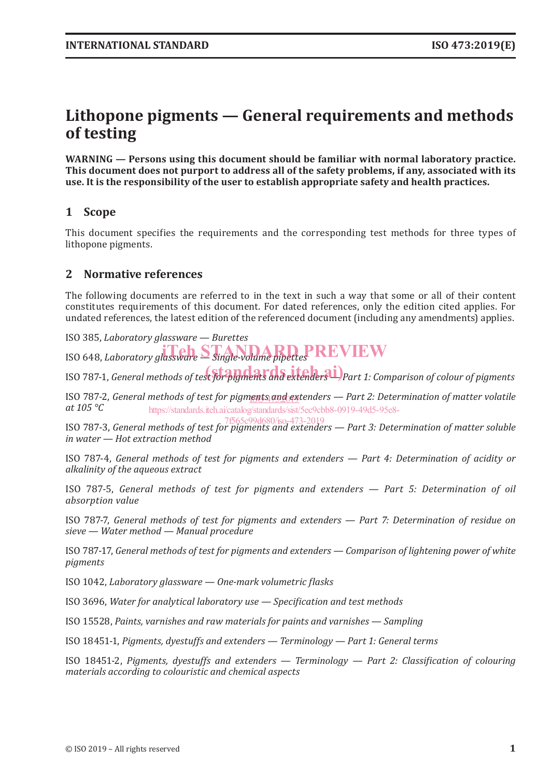# **Lithopone pigments — General requirements and methods of testing**

**WARNING — Persons using this document should be familiar with normal laboratory practice. This document does not purport to address all of the safety problems, if any, associated with its use. It is the responsibility of the user to establish appropriate safety and health practices.**

#### **1 Scope**

This document specifies the requirements and the corresponding test methods for three types of lithopone pigments.

#### **2 Normative references**

The following documents are referred to in the text in such a way that some or all of their content constitutes requirements of this document. For dated references, only the edition cited applies. For undated references, the latest edition of the referenced document (including any amendments) applies.

ISO 385, *Laboratory glassware — Burettes*

ISO 648, *Laboratory glassware*  $S$  *Single-volume pipettes*  $\mathbf{R}\mathbf{E}\mathbf{V}\mathbf{I}\mathbf{E}\mathbf{W}$ 

1SO 787-1, General methods of test for pigments and extenders **1**) Part 1: Comparison of colour of pigments

ISO 787-2, *General methods of test for pigments and extenders — Part 2: Determination of matter volatile*  ISO 473:2019 *at 105 °C* https://standards.iteh.ai/catalog/standards/sist/5ec9cbb8-0919-49d5-95e8-

ISO 787-3, *General methods of test for pigments and extenders — Part 3: Determination of matter soluble in water — Hot extraction method* 7f565c99d680/iso-473-2019

ISO 787-4, *General methods of test for pigments and extenders — Part 4: Determination of acidity or alkalinity of the aqueous extract*

ISO 787-5, *General methods of test for pigments and extenders — Part 5: Determination of oil absorption value*

ISO 787-7, *General methods of test for pigments and extenders — Part 7: Determination of residue on sieve — Water method — Manual procedure*

ISO 787-17, *General methods of test for pigments and extenders — Comparison of lightening power of white pigments*

ISO 1042, *Laboratory glassware — One-mark volumetric flasks*

ISO 3696, *Water for analytical laboratory use — Specification and test methods*

ISO 15528, *Paints, varnishes and raw materials for paints and varnishes — Sampling*

ISO 18451-1, *Pigments, dyestuffs and extenders — Terminology — Part 1: General terms*

ISO 18451-2, *Pigments, dyestuffs and extenders — Terminology — Part 2: Classification of colouring materials according to colouristic and chemical aspects*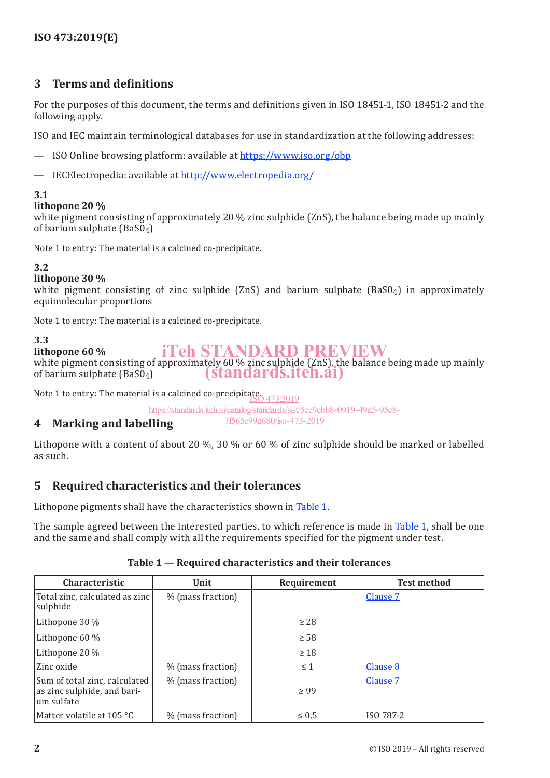### **3 Terms and definitions**

For the purposes of this document, the terms and definitions given in ISO 18451-1, ISO 18451-2 and the following apply.

ISO and IEC maintain terminological databases for use in standardization at the following addresses:

- ISO Online browsing platform: available at https://www.iso.org/obp
- IECElectropedia: available at http://www.electropedia.org/

#### **3.1**

#### **lithopone 20 %**

white pigment consisting of approximately 20 % zinc sulphide (ZnS), the balance being made up mainly of barium sulphate (BaS04)

Note 1 to entry: The material is a calcined co-precipitate.

#### **3.2**

#### **lithopone 30 %**

white pigment consisting of zinc sulphide (ZnS) and barium sulphate (BaS04) in approximately equimolecular proportions

Note 1 to entry: The material is a calcined co-precipitate.

#### **3.3**

#### **lithopone 60 %** iTeh STANDARD PREVIEW

white pigment consisting of approximately 60 % zinc sulphide (ZnS), the balance being made up mainly of barium sulphate (BaS04) (standards.iteh.ai)

Note 1 to entry: The material is a calcined co-precipitate. <u>ISO 473:2019</u>

https://standards.iteh.ai/catalog/standards/sist/5ec9cbb8-0919-49d5-95e8- 7f565c99d680/iso-473-2019

### **4 Marking and labelling**

Lithopone with a content of about 20 %, 30 % or 60 % of zinc sulphide should be marked or labelled as such.

### **5 Required characteristics and their tolerances**

Lithopone pigments shall have the characteristics shown in Table 1.

The sample agreed between the interested parties, to which reference is made in Table 1, shall be one and the same and shall comply with all the requirements specified for the pigment under test.

| <b>Characteristic</b>                                                      | Unit              | Requirement | <b>Test method</b> |
|----------------------------------------------------------------------------|-------------------|-------------|--------------------|
| Total zinc, calculated as zinc<br>sulphide                                 | % (mass fraction) |             | Clause 7           |
| Lithopone 30 %                                                             |                   | $\geq$ 28   |                    |
| Lithopone 60 %                                                             |                   | $\geq 58$   |                    |
| Lithopone 20 %                                                             |                   | $\geq 18$   |                    |
| Zinc oxide                                                                 | % (mass fraction) | $\leq 1$    | Clause 8           |
| Sum of total zinc, calculated<br>as zinc sulphide, and bari-<br>um sulfate | % (mass fraction) | $\geq 99$   | Clause 7           |
| Matter volatile at 105 °C                                                  | % (mass fraction) | $\leq 0.5$  | ISO 787-2          |

#### **Table 1 — Required characteristics and their tolerances**